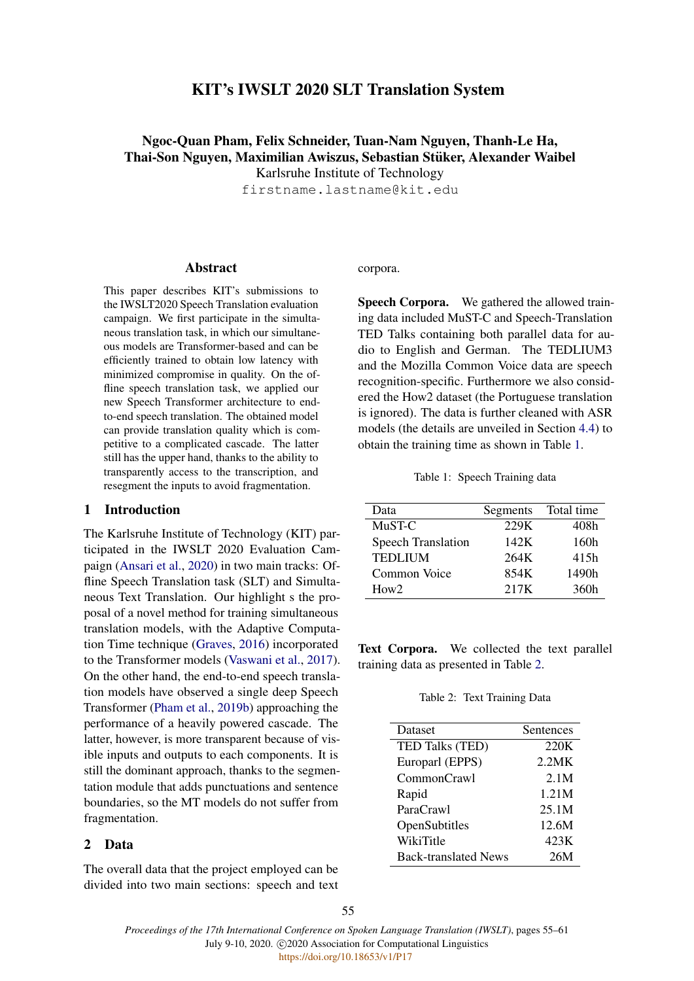## KIT's IWSLT 2020 SLT Translation System

# Ngoc-Quan Pham, Felix Schneider, Tuan-Nam Nguyen, Thanh-Le Ha, Thai-Son Nguyen, Maximilian Awiszus, Sebastian Stüker, Alexander Waibel Karlsruhe Institute of Technology

firstname.lastname@kit.edu

## Abstract

This paper describes KIT's submissions to the IWSLT2020 Speech Translation evaluation campaign. We first participate in the simultaneous translation task, in which our simultaneous models are Transformer-based and can be efficiently trained to obtain low latency with minimized compromise in quality. On the offline speech translation task, we applied our new Speech Transformer architecture to endto-end speech translation. The obtained model can provide translation quality which is competitive to a complicated cascade. The latter still has the upper hand, thanks to the ability to transparently access to the transcription, and resegment the inputs to avoid fragmentation.

## 1 Introduction

The Karlsruhe Institute of Technology (KIT) participated in the IWSLT 2020 Evaluation Campaign [\(Ansari et al.,](#page-5-0) [2020\)](#page-5-0) in two main tracks: Offline Speech Translation task (SLT) and Simultaneous Text Translation. Our highlight s the proposal of a novel method for training simultaneous translation models, with the Adaptive Computation Time technique [\(Graves,](#page-5-1) [2016\)](#page-5-1) incorporated to the Transformer models [\(Vaswani et al.,](#page-6-0) [2017\)](#page-6-0). On the other hand, the end-to-end speech translation models have observed a single deep Speech Transformer [\(Pham et al.,](#page-6-1) [2019b\)](#page-6-1) approaching the performance of a heavily powered cascade. The latter, however, is more transparent because of visible inputs and outputs to each components. It is still the dominant approach, thanks to the segmentation module that adds punctuations and sentence boundaries, so the MT models do not suffer from fragmentation.

## 2 Data

The overall data that the project employed can be divided into two main sections: speech and text

#### corpora.

Speech Corpora. We gathered the allowed training data included MuST-C and Speech-Translation TED Talks containing both parallel data for audio to English and German. The TEDLIUM3 and the Mozilla Common Voice data are speech recognition-specific. Furthermore we also considered the How2 dataset (the Portuguese translation is ignored). The data is further cleaned with ASR models (the details are unveiled in Section [4.4\)](#page-3-0) to obtain the training time as shown in Table [1.](#page-0-0)

Table 1: Speech Training data

<span id="page-0-0"></span>

| Data                      | Segments | Total time |
|---------------------------|----------|------------|
| MuST-C                    | 229K     | 408h       |
| <b>Speech Translation</b> | 142K     | 160h       |
| <b>TEDLIUM</b>            | 264K     | 415h       |
| Common Voice              | 854K     | 1490h      |
| How2                      | 217K     | 360h       |

<span id="page-0-1"></span>Text Corpora. We collected the text parallel training data as presented in Table [2.](#page-0-1)

| Dataset                     | Sentences |
|-----------------------------|-----------|
| <b>TED Talks (TED)</b>      | 220K      |
| Europarl (EPPS)             | 2.2MK     |
| CommonCrawl                 | 2.1M      |
| Rapid                       | 1.21M     |
| ParaCrawl                   | 25.1M     |
| OpenSubtitles               | 12.6M     |
| WikiTitle                   | 423K      |
| <b>Back-translated News</b> | 26M       |

55

*Proceedings of the 17th International Conference on Spoken Language Translation (IWSLT)*, pages 55–61 July 9-10, 2020. C 2020 Association for Computational Linguistics https://doi.org/10.18653/v1/P17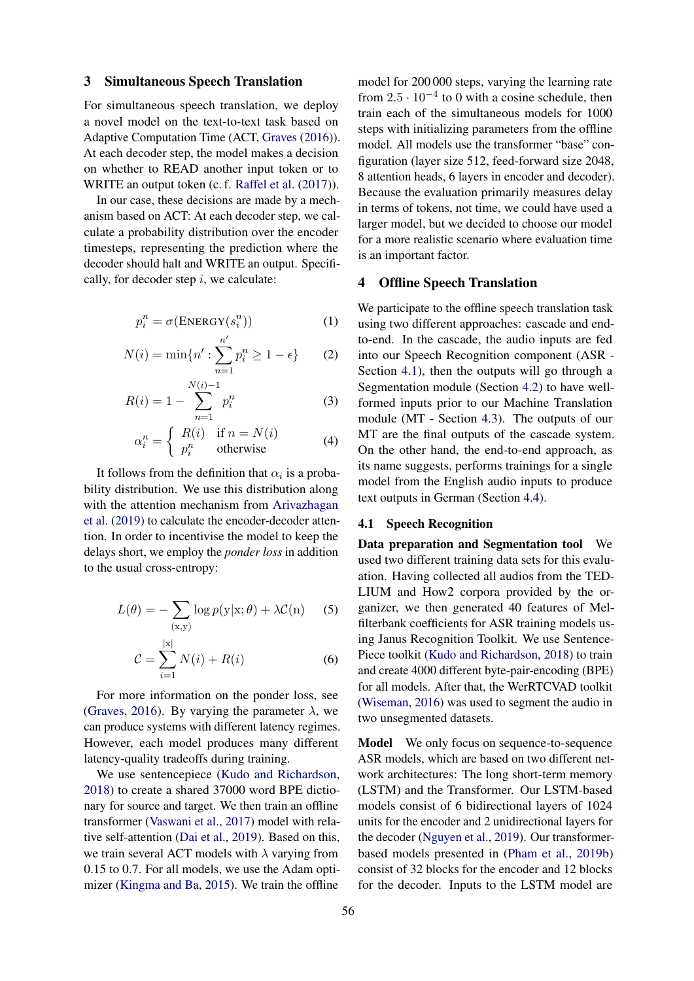#### 3 Simultaneous Speech Translation

For simultaneous speech translation, we deploy a novel model on the text-to-text task based on Adaptive Computation Time (ACT, [Graves](#page-5-1) [\(2016\)](#page-5-1)). At each decoder step, the model makes a decision on whether to READ another input token or to WRITE an output token (c. f. [Raffel et al.](#page-6-2) [\(2017\)](#page-6-2)).

In our case, these decisions are made by a mechanism based on ACT: At each decoder step, we calculate a probability distribution over the encoder timesteps, representing the prediction where the decoder should halt and WRITE an output. Specifically, for decoder step  $i$ , we calculate:

$$
p_i^n = \sigma(\text{ENERGY}(s_i^n))
$$
 (1)

$$
N(i) = \min\{n' : \sum_{n=1}^{n'} p_i^n \ge 1 - \epsilon\}
$$
 (2)

$$
R(i) = 1 - \sum_{n=1}^{N(i)-1} p_i^n
$$
 (3)

$$
\alpha_i^n = \begin{cases} R(i) & \text{if } n = N(i) \\ p_i^n & \text{otherwise} \end{cases}
$$
 (4)

It follows from the definition that  $\alpha_i$  is a probability distribution. We use this distribution along with the attention mechanism from [Arivazhagan](#page-5-2) [et al.](#page-5-2) [\(2019\)](#page-5-2) to calculate the encoder-decoder attention. In order to incentivise the model to keep the delays short, we employ the *ponder loss* in addition to the usual cross-entropy:

$$
L(\theta) = -\sum_{(\mathbf{x}, \mathbf{y})} \log p(\mathbf{y}|\mathbf{x}; \theta) + \lambda \mathcal{C}(\mathbf{n}) \tag{5}
$$

$$
C = \sum_{i=1}^{|x|} N(i) + R(i)
$$
 (6)

For more information on the ponder loss, see [\(Graves,](#page-5-1) [2016\)](#page-5-1). By varying the parameter  $\lambda$ , we can produce systems with different latency regimes. However, each model produces many different latency-quality tradeoffs during training.

We use sentencepiece [\(Kudo and Richardson,](#page-5-3) [2018\)](#page-5-3) to create a shared 37000 word BPE dictionary for source and target. We then train an offline transformer [\(Vaswani et al.,](#page-6-0) [2017\)](#page-6-0) model with relative self-attention [\(Dai et al.,](#page-5-4) [2019\)](#page-5-4). Based on this, we train several ACT models with  $\lambda$  varying from 0.15 to 0.7. For all models, we use the Adam optimizer [\(Kingma and Ba,](#page-5-5) [2015\)](#page-5-5). We train the offline

model for 200 000 steps, varying the learning rate from  $2.5 \cdot 10^{-4}$  to 0 with a cosine schedule, then train each of the simultaneous models for 1000 steps with initializing parameters from the offline model. All models use the transformer "base" configuration (layer size 512, feed-forward size 2048, 8 attention heads, 6 layers in encoder and decoder). Because the evaluation primarily measures delay in terms of tokens, not time, we could have used a larger model, but we decided to choose our model for a more realistic scenario where evaluation time is an important factor.

### 4 Offline Speech Translation

We participate to the offline speech translation task using two different approaches: cascade and endto-end. In the cascade, the audio inputs are fed into our Speech Recognition component (ASR - Section [4.1\)](#page-1-0), then the outputs will go through a Segmentation module (Section [4.2\)](#page-2-0) to have wellformed inputs prior to our Machine Translation module (MT - Section [4.3\)](#page-2-1). The outputs of our MT are the final outputs of the cascade system. On the other hand, the end-to-end approach, as its name suggests, performs trainings for a single model from the English audio inputs to produce text outputs in German (Section [4.4\)](#page-3-0).

#### <span id="page-1-0"></span>4.1 Speech Recognition

Data preparation and Segmentation tool We used two different training data sets for this evaluation. Having collected all audios from the TED-LIUM and How2 corpora provided by the organizer, we then generated 40 features of Melfilterbank coefficients for ASR training models using Janus Recognition Toolkit. We use Sentence-Piece toolkit [\(Kudo and Richardson,](#page-5-3) [2018\)](#page-5-3) to train and create 4000 different byte-pair-encoding (BPE) for all models. After that, the WerRTCVAD toolkit [\(Wiseman,](#page-6-3) [2016\)](#page-6-3) was used to segment the audio in two unsegmented datasets.

Model We only focus on sequence-to-sequence ASR models, which are based on two different network architectures: The long short-term memory (LSTM) and the Transformer. Our LSTM-based models consist of 6 bidirectional layers of 1024 units for the encoder and 2 unidirectional layers for the decoder [\(Nguyen et al.,](#page-6-4) [2019\)](#page-6-4). Our transformerbased models presented in [\(Pham et al.,](#page-6-1) [2019b\)](#page-6-1) consist of 32 blocks for the encoder and 12 blocks for the decoder. Inputs to the LSTM model are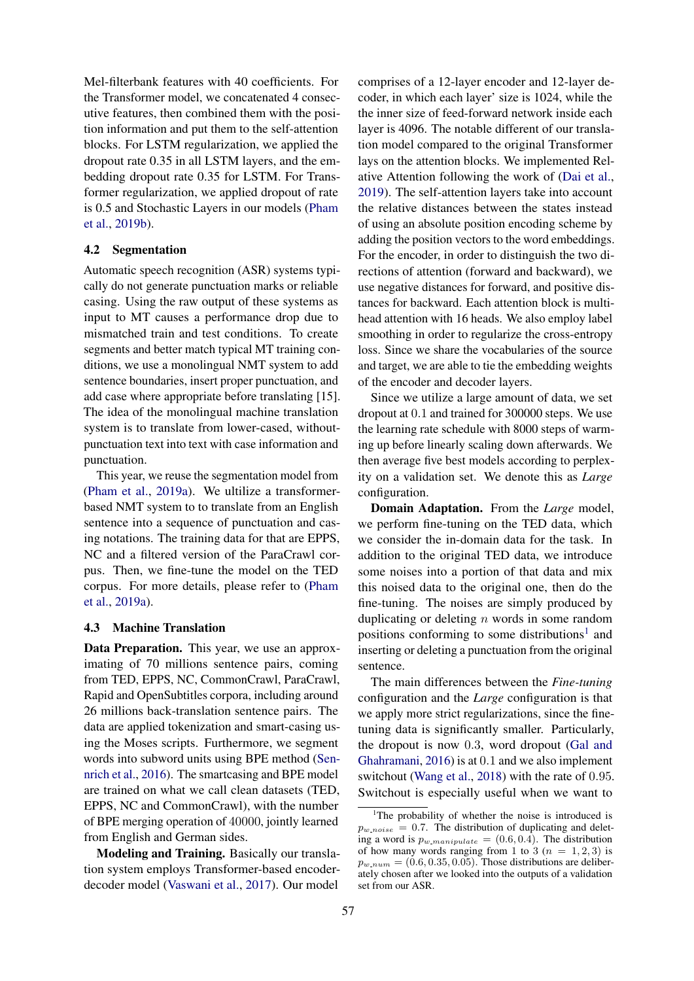Mel-filterbank features with 40 coefficients. For the Transformer model, we concatenated 4 consecutive features, then combined them with the position information and put them to the self-attention blocks. For LSTM regularization, we applied the dropout rate 0.35 in all LSTM layers, and the embedding dropout rate 0.35 for LSTM. For Transformer regularization, we applied dropout of rate is 0.5 and Stochastic Layers in our models [\(Pham](#page-6-1) [et al.,](#page-6-1) [2019b\)](#page-6-1).

#### <span id="page-2-0"></span>4.2 Segmentation

Automatic speech recognition (ASR) systems typically do not generate punctuation marks or reliable casing. Using the raw output of these systems as input to MT causes a performance drop due to mismatched train and test conditions. To create segments and better match typical MT training conditions, we use a monolingual NMT system to add sentence boundaries, insert proper punctuation, and add case where appropriate before translating [15]. The idea of the monolingual machine translation system is to translate from lower-cased, withoutpunctuation text into text with case information and punctuation.

This year, we reuse the segmentation model from [\(Pham et al.,](#page-6-5) [2019a\)](#page-6-5). We ultilize a transformerbased NMT system to to translate from an English sentence into a sequence of punctuation and casing notations. The training data for that are EPPS, NC and a filtered version of the ParaCrawl corpus. Then, we fine-tune the model on the TED corpus. For more details, please refer to [\(Pham](#page-6-5) [et al.,](#page-6-5) [2019a\)](#page-6-5).

#### <span id="page-2-1"></span>4.3 Machine Translation

Data Preparation. This year, we use an approximating of 70 millions sentence pairs, coming from TED, EPPS, NC, CommonCrawl, ParaCrawl, Rapid and OpenSubtitles corpora, including around 26 millions back-translation sentence pairs. The data are applied tokenization and smart-casing using the Moses scripts. Furthermore, we segment words into subword units using BPE method [\(Sen](#page-6-6)[nrich et al.,](#page-6-6) [2016\)](#page-6-6). The smartcasing and BPE model are trained on what we call clean datasets (TED, EPPS, NC and CommonCrawl), with the number of BPE merging operation of 40000, jointly learned from English and German sides.

Modeling and Training. Basically our translation system employs Transformer-based encoderdecoder model [\(Vaswani et al.,](#page-6-0) [2017\)](#page-6-0). Our model

comprises of a 12-layer encoder and 12-layer decoder, in which each layer' size is 1024, while the the inner size of feed-forward network inside each layer is 4096. The notable different of our translation model compared to the original Transformer lays on the attention blocks. We implemented Relative Attention following the work of [\(Dai et al.,](#page-5-4) [2019\)](#page-5-4). The self-attention layers take into account the relative distances between the states instead of using an absolute position encoding scheme by adding the position vectors to the word embeddings. For the encoder, in order to distinguish the two directions of attention (forward and backward), we use negative distances for forward, and positive distances for backward. Each attention block is multihead attention with 16 heads. We also employ label smoothing in order to regularize the cross-entropy loss. Since we share the vocabularies of the source and target, we are able to tie the embedding weights of the encoder and decoder layers.

Since we utilize a large amount of data, we set dropout at 0.1 and trained for 300000 steps. We use the learning rate schedule with 8000 steps of warming up before linearly scaling down afterwards. We then average five best models according to perplexity on a validation set. We denote this as *Large* configuration.

Domain Adaptation. From the *Large* model, we perform fine-tuning on the TED data, which we consider the in-domain data for the task. In addition to the original TED data, we introduce some noises into a portion of that data and mix this noised data to the original one, then do the fine-tuning. The noises are simply produced by duplicating or deleting  $n$  words in some random positions conforming to some distributions<sup>[1](#page-2-2)</sup> and inserting or deleting a punctuation from the original sentence.

The main differences between the *Fine-tuning* configuration and the *Large* configuration is that we apply more strict regularizations, since the finetuning data is significantly smaller. Particularly, the dropout is now 0.3, word dropout [\(Gal and](#page-5-6) [Ghahramani,](#page-5-6) [2016\)](#page-5-6) is at 0.1 and we also implement switchout [\(Wang et al.,](#page-6-7) [2018\)](#page-6-7) with the rate of 0.95. Switchout is especially useful when we want to

<span id="page-2-2"></span><sup>&</sup>lt;sup>1</sup>The probability of whether the noise is introduced is  $p_{w\_noise} = 0.7$ . The distribution of duplicating and deleting a word is  $p_{w\text{-}manipulate} = (0.6, 0.4)$ . The distribution of how many words ranging from 1 to 3 ( $n = 1, 2, 3$ ) is  $p_{w_number} = (0.6, 0.35, 0.05)$ . Those distributions are deliberately chosen after we looked into the outputs of a validation set from our ASR.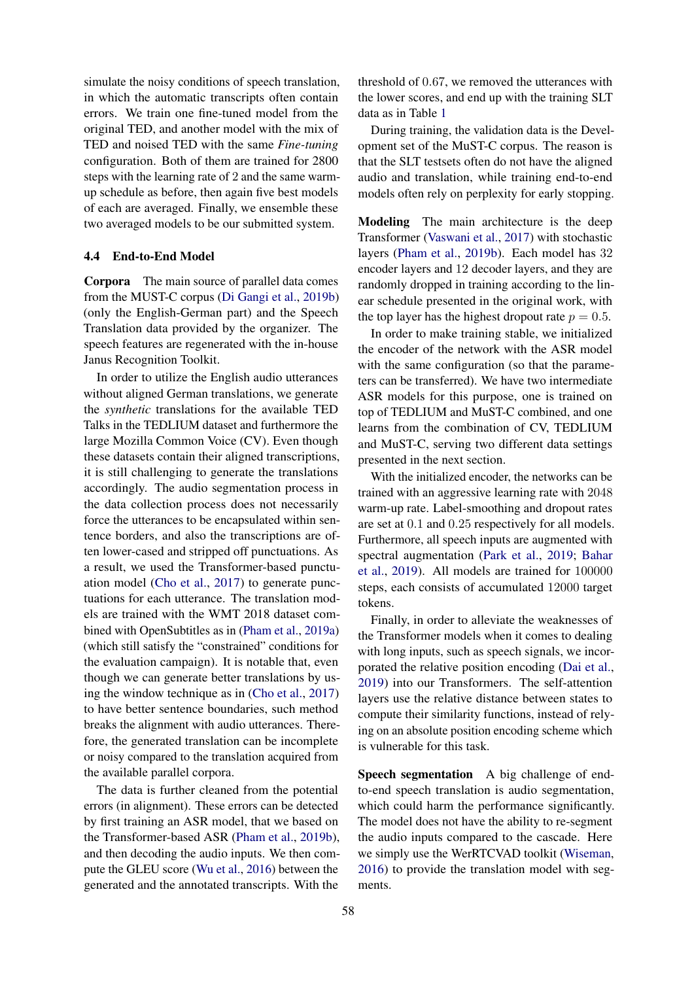simulate the noisy conditions of speech translation, in which the automatic transcripts often contain errors. We train one fine-tuned model from the original TED, and another model with the mix of TED and noised TED with the same *Fine-tuning* configuration. Both of them are trained for 2800 steps with the learning rate of 2 and the same warmup schedule as before, then again five best models of each are averaged. Finally, we ensemble these two averaged models to be our submitted system.

#### <span id="page-3-0"></span>4.4 End-to-End Model

Corpora The main source of parallel data comes from the MUST-C corpus [\(Di Gangi et al.,](#page-5-7) [2019b\)](#page-5-7) (only the English-German part) and the Speech Translation data provided by the organizer. The speech features are regenerated with the in-house Janus Recognition Toolkit.

In order to utilize the English audio utterances without aligned German translations, we generate the *synthetic* translations for the available TED Talks in the TEDLIUM dataset and furthermore the large Mozilla Common Voice (CV). Even though these datasets contain their aligned transcriptions, it is still challenging to generate the translations accordingly. The audio segmentation process in the data collection process does not necessarily force the utterances to be encapsulated within sentence borders, and also the transcriptions are often lower-cased and stripped off punctuations. As a result, we used the Transformer-based punctuation model [\(Cho et al.,](#page-5-8) [2017\)](#page-5-8) to generate punctuations for each utterance. The translation models are trained with the WMT 2018 dataset combined with OpenSubtitles as in [\(Pham et al.,](#page-6-5) [2019a\)](#page-6-5) (which still satisfy the "constrained" conditions for the evaluation campaign). It is notable that, even though we can generate better translations by using the window technique as in [\(Cho et al.,](#page-5-8) [2017\)](#page-5-8) to have better sentence boundaries, such method breaks the alignment with audio utterances. Therefore, the generated translation can be incomplete or noisy compared to the translation acquired from the available parallel corpora.

The data is further cleaned from the potential errors (in alignment). These errors can be detected by first training an ASR model, that we based on the Transformer-based ASR [\(Pham et al.,](#page-6-1) [2019b\)](#page-6-1), and then decoding the audio inputs. We then compute the GLEU score [\(Wu et al.,](#page-6-8) [2016\)](#page-6-8) between the generated and the annotated transcripts. With the

threshold of 0.67, we removed the utterances with the lower scores, and end up with the training SLT data as in Table [1](#page-0-0)

During training, the validation data is the Development set of the MuST-C corpus. The reason is that the SLT testsets often do not have the aligned audio and translation, while training end-to-end models often rely on perplexity for early stopping.

Modeling The main architecture is the deep Transformer [\(Vaswani et al.,](#page-6-0) [2017\)](#page-6-0) with stochastic layers [\(Pham et al.,](#page-6-1) [2019b\)](#page-6-1). Each model has 32 encoder layers and 12 decoder layers, and they are randomly dropped in training according to the linear schedule presented in the original work, with the top layer has the highest dropout rate  $p = 0.5$ .

In order to make training stable, we initialized the encoder of the network with the ASR model with the same configuration (so that the parameters can be transferred). We have two intermediate ASR models for this purpose, one is trained on top of TEDLIUM and MuST-C combined, and one learns from the combination of CV, TEDLIUM and MuST-C, serving two different data settings presented in the next section.

With the initialized encoder, the networks can be trained with an aggressive learning rate with 2048 warm-up rate. Label-smoothing and dropout rates are set at 0.1 and 0.25 respectively for all models. Furthermore, all speech inputs are augmented with spectral augmentation [\(Park et al.,](#page-6-9) [2019;](#page-6-9) [Bahar](#page-5-9) [et al.,](#page-5-9) [2019\)](#page-5-9). All models are trained for 100000 steps, each consists of accumulated 12000 target tokens.

Finally, in order to alleviate the weaknesses of the Transformer models when it comes to dealing with long inputs, such as speech signals, we incorporated the relative position encoding [\(Dai et al.,](#page-5-4) [2019\)](#page-5-4) into our Transformers. The self-attention layers use the relative distance between states to compute their similarity functions, instead of relying on an absolute position encoding scheme which is vulnerable for this task.

Speech segmentation A big challenge of endto-end speech translation is audio segmentation, which could harm the performance significantly. The model does not have the ability to re-segment the audio inputs compared to the cascade. Here we simply use the WerRTCVAD toolkit [\(Wiseman,](#page-6-3) [2016\)](#page-6-3) to provide the translation model with segments.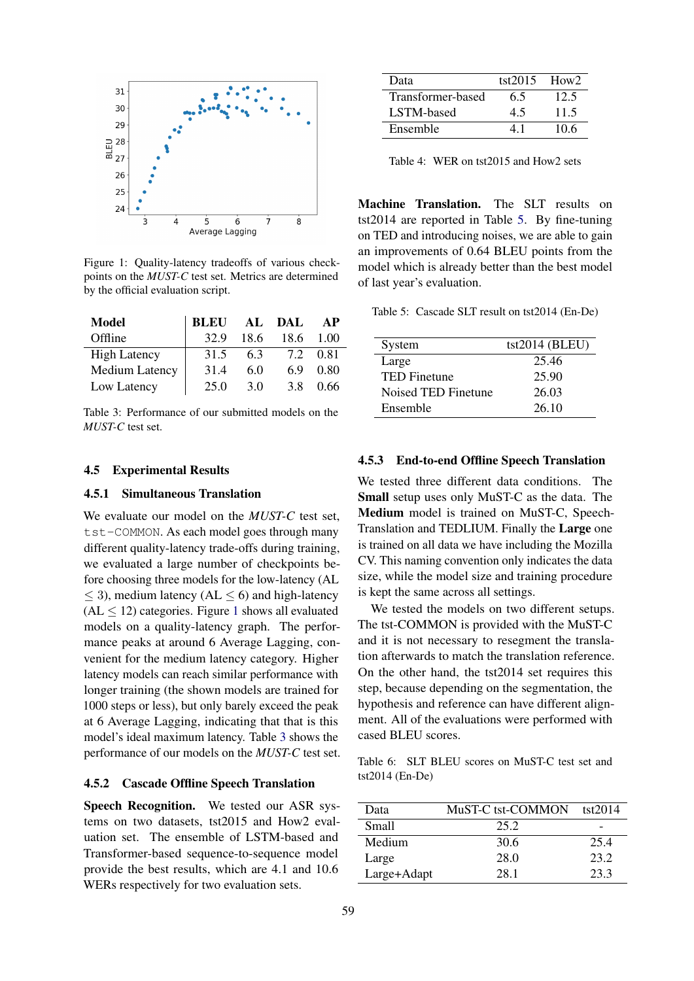<span id="page-4-0"></span>

Figure 1: Quality-latency tradeoffs of various checkpoints on the *MUST-C* test set. Metrics are determined by the official evaluation script.

<span id="page-4-1"></span>

| <b>Model</b>        | <b>BLEU</b> | AL   | DAL  | <b>AP</b> |
|---------------------|-------------|------|------|-----------|
| Offline             | 32.9        | 18.6 | 18.6 | 1.00      |
| <b>High Latency</b> | 31.5        | 6.3  | 7.2  | 0.81      |
| Medium Latency      | 31.4        | 6.0  | 6.9  | 0.80      |
| Low Latency         | 25.0        | 3.0  | 3.8  | 0.66      |

Table 3: Performance of our submitted models on the *MUST-C* test set.

#### 4.5 Experimental Results

## 4.5.1 Simultaneous Translation

We evaluate our model on the *MUST-C* test set, tst-COMMON. As each model goes through many different quality-latency trade-offs during training, we evaluated a large number of checkpoints before choosing three models for the low-latency (AL  $\leq$  3), medium latency (AL  $\leq$  6) and high-latency  $(AL \le 12)$  $(AL \le 12)$  $(AL \le 12)$  categories. Figure 1 shows all evaluated models on a quality-latency graph. The performance peaks at around 6 Average Lagging, convenient for the medium latency category. Higher latency models can reach similar performance with longer training (the shown models are trained for 1000 steps or less), but only barely exceed the peak at 6 Average Lagging, indicating that that is this model's ideal maximum latency. Table [3](#page-4-1) shows the performance of our models on the *MUST-C* test set.

#### 4.5.2 Cascade Offline Speech Translation

Speech Recognition. We tested our ASR systems on two datasets, tst2015 and How2 evaluation set. The ensemble of LSTM-based and Transformer-based sequence-to-sequence model provide the best results, which are 4.1 and 10.6 WERs respectively for two evaluation sets.

| Data              | tst $2015$ | How <sub>2</sub> |
|-------------------|------------|------------------|
| Transformer-based | 6.5        | 12.5             |
| LSTM-based        | 4.5        | 11.5             |
| Ensemble          |            | 10.6             |

Table 4: WER on tst2015 and How2 sets

Machine Translation. The SLT results on tst2014 are reported in Table [5.](#page-4-2) By fine-tuning on TED and introducing noises, we are able to gain an improvements of 0.64 BLEU points from the model which is already better than the best model of last year's evaluation.

<span id="page-4-2"></span>Table 5: Cascade SLT result on tst2014 (En-De)

| System              | $tst2014$ (BLEU) |
|---------------------|------------------|
| Large               | 25.46            |
| <b>TED Finetune</b> | 25.90            |
| Noised TED Finetune | 26.03            |
| Ensemble            | 26.10            |

#### 4.5.3 End-to-end Offline Speech Translation

We tested three different data conditions. The Small setup uses only MuST-C as the data. The Medium model is trained on MuST-C, Speech-Translation and TEDLIUM. Finally the Large one is trained on all data we have including the Mozilla CV. This naming convention only indicates the data size, while the model size and training procedure is kept the same across all settings.

We tested the models on two different setups. The tst-COMMON is provided with the MuST-C and it is not necessary to resegment the translation afterwards to match the translation reference. On the other hand, the tst2014 set requires this step, because depending on the segmentation, the hypothesis and reference can have different alignment. All of the evaluations were performed with cased BLEU scores.

<span id="page-4-3"></span>Table 6: SLT BLEU scores on MuST-C test set and tst2014 (En-De)

| Data        | MuST-C tst-COMMON | tst2014 |
|-------------|-------------------|---------|
| Small       | 25.2              | -       |
| Medium      | 30.6              | 25.4    |
| Large       | 28.0              | 23.2    |
| Large+Adapt | 28.1              | 23.3    |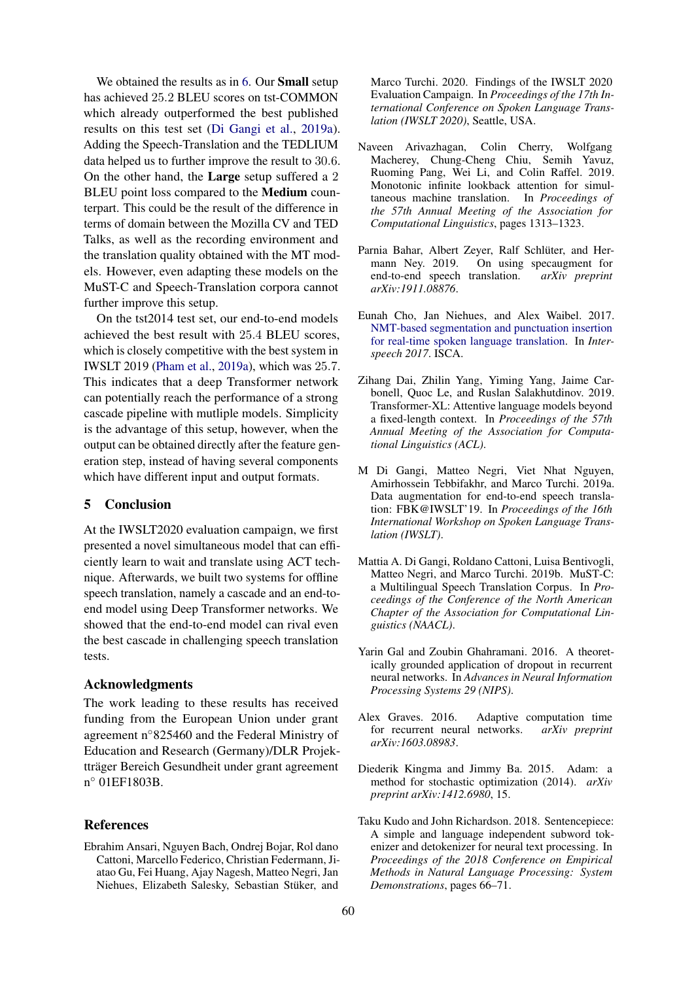We obtained the results as in [6.](#page-4-3) Our **Small** setup has achieved 25.2 BLEU scores on tst-COMMON which already outperformed the best published results on this test set [\(Di Gangi et al.,](#page-5-10) [2019a\)](#page-5-10). Adding the Speech-Translation and the TEDLIUM data helped us to further improve the result to 30.6. On the other hand, the Large setup suffered a 2 BLEU point loss compared to the Medium counterpart. This could be the result of the difference in terms of domain between the Mozilla CV and TED Talks, as well as the recording environment and the translation quality obtained with the MT models. However, even adapting these models on the MuST-C and Speech-Translation corpora cannot further improve this setup.

On the tst2014 test set, our end-to-end models achieved the best result with 25.4 BLEU scores, which is closely competitive with the best system in IWSLT 2019 [\(Pham et al.,](#page-6-5) [2019a\)](#page-6-5), which was 25.7. This indicates that a deep Transformer network can potentially reach the performance of a strong cascade pipeline with mutliple models. Simplicity is the advantage of this setup, however, when the output can be obtained directly after the feature generation step, instead of having several components which have different input and output formats.

## 5 Conclusion

At the IWSLT2020 evaluation campaign, we first presented a novel simultaneous model that can efficiently learn to wait and translate using ACT technique. Afterwards, we built two systems for offline speech translation, namely a cascade and an end-toend model using Deep Transformer networks. We showed that the end-to-end model can rival even the best cascade in challenging speech translation tests.

#### Acknowledgments

The work leading to these results has received funding from the European Union under grant agreement n◦825460 and the Federal Ministry of Education and Research (Germany)/DLR Projektträger Bereich Gesundheit under grant agreement n ◦ 01EF1803B.

## References

<span id="page-5-0"></span>Ebrahim Ansari, Nguyen Bach, Ondrej Bojar, Rol dano Cattoni, Marcello Federico, Christian Federmann, Jiatao Gu, Fei Huang, Ajay Nagesh, Matteo Negri, Jan Niehues, Elizabeth Salesky, Sebastian Stüker, and Marco Turchi. 2020. Findings of the IWSLT 2020 Evaluation Campaign. In *Proceedings of the 17th International Conference on Spoken Language Translation (IWSLT 2020)*, Seattle, USA.

- <span id="page-5-2"></span>Naveen Arivazhagan, Colin Cherry, Wolfgang Macherey, Chung-Cheng Chiu, Semih Yavuz, Ruoming Pang, Wei Li, and Colin Raffel. 2019. Monotonic infinite lookback attention for simultaneous machine translation. In *Proceedings of the 57th Annual Meeting of the Association for Computational Linguistics*, pages 1313–1323.
- <span id="page-5-9"></span>Parnia Bahar, Albert Zeyer, Ralf Schlüter, and Hermann Ney. 2019. On using specaugment for end-to-end speech translation. *arXiv preprint arXiv:1911.08876*.
- <span id="page-5-8"></span>Eunah Cho, Jan Niehues, and Alex Waibel. 2017. [NMT-based segmentation and punctuation insertion](https://doi.org/10.21437/interspeech.2017-1320) [for real-time spoken language translation.](https://doi.org/10.21437/interspeech.2017-1320) In *Interspeech 2017*. ISCA.
- <span id="page-5-4"></span>Zihang Dai, Zhilin Yang, Yiming Yang, Jaime Carbonell, Quoc Le, and Ruslan Salakhutdinov. 2019. Transformer-XL: Attentive language models beyond a fixed-length context. In *Proceedings of the 57th Annual Meeting of the Association for Computational Linguistics (ACL)*.
- <span id="page-5-10"></span>M Di Gangi, Matteo Negri, Viet Nhat Nguyen, Amirhossein Tebbifakhr, and Marco Turchi. 2019a. Data augmentation for end-to-end speech translation: FBK@IWSLT'19. In *Proceedings of the 16th International Workshop on Spoken Language Translation (IWSLT)*.
- <span id="page-5-7"></span>Mattia A. Di Gangi, Roldano Cattoni, Luisa Bentivogli, Matteo Negri, and Marco Turchi. 2019b. MuST-C: a Multilingual Speech Translation Corpus. In *Proceedings of the Conference of the North American Chapter of the Association for Computational Linguistics (NAACL)*.
- <span id="page-5-6"></span>Yarin Gal and Zoubin Ghahramani. 2016. A theoretically grounded application of dropout in recurrent neural networks. In *Advances in Neural Information Processing Systems 29 (NIPS)*.
- <span id="page-5-1"></span>Alex Graves. 2016. Adaptive computation time for recurrent neural networks. *arXiv preprint arXiv:1603.08983*.
- <span id="page-5-5"></span>Diederik Kingma and Jimmy Ba. 2015. Adam: a method for stochastic optimization (2014). *arXiv preprint arXiv:1412.6980*, 15.
- <span id="page-5-3"></span>Taku Kudo and John Richardson. 2018. Sentencepiece: A simple and language independent subword tokenizer and detokenizer for neural text processing. In *Proceedings of the 2018 Conference on Empirical Methods in Natural Language Processing: System Demonstrations*, pages 66–71.